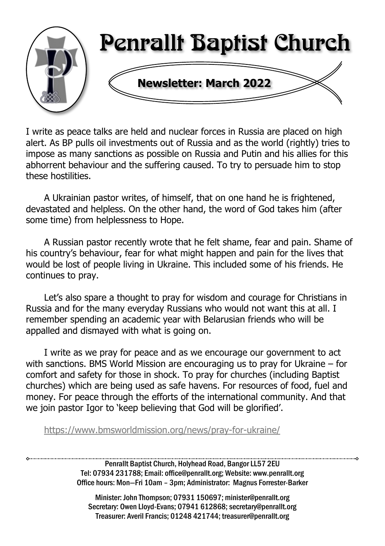

I write as peace talks are held and nuclear forces in Russia are placed on high alert. As BP pulls oil investments out of Russia and as the world (rightly) tries to impose as many sanctions as possible on Russia and Putin and his allies for this abhorrent behaviour and the suffering caused. To try to persuade him to stop these hostilities.

A Ukrainian pastor writes, of himself, that on one hand he is frightened, devastated and helpless. On the other hand, the word of God takes him (after some time) from helplessness to Hope.

A Russian pastor recently wrote that he felt shame, fear and pain. Shame of his country's behaviour, fear for what might happen and pain for the lives that would be lost of people living in Ukraine. This included some of his friends. He continues to pray.

Let's also spare a thought to pray for wisdom and courage for Christians in Russia and for the many everyday Russians who would not want this at all. I remember spending an academic year with Belarusian friends who will be appalled and dismayed with what is going on.

I write as we pray for peace and as we encourage our government to act with sanctions. BMS World Mission are encouraging us to pray for Ukraine – for comfort and safety for those in shock. To pray for churches (including Baptist churches) which are being used as safe havens. For resources of food, fuel and money. For peace through the efforts of the international community. And that we join pastor Igor to 'keep believing that God will be glorified'.

<https://www.bmsworldmission.org/news/pray-for-ukraine/>

Penrallt Baptist Church, Holyhead Road, Bangor LL57 2EU Tel: 07934 231788; Email: office@penrallt.org; Website: www.penrallt.org Office hours: Mon—Fri 10am – 3pm; Administrator: Magnus Forrester-Barker

Minister: John Thompson; 07931 150697; minister@penrallt.org Secretary: Owen Lloyd-Evans; 07941 612868; secretary@penrallt.org Treasurer: Averil Francis; 01248 421744; treasurer@penrallt.org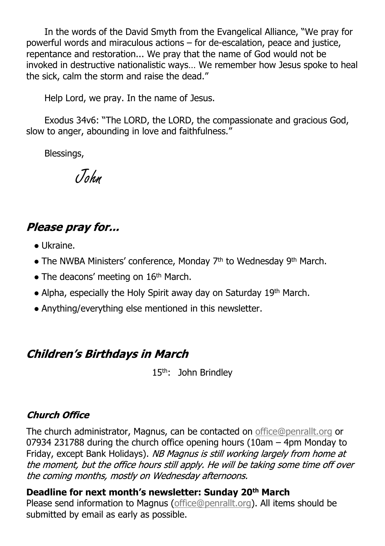In the words of the David Smyth from the Evangelical Alliance, "We pray for powerful words and miraculous actions – for de-escalation, peace and justice, repentance and restoration... We pray that the name of God would not be invoked in destructive nationalistic ways… We remember how Jesus spoke to heal the sick, calm the storm and raise the dead."

Help Lord, we pray. In the name of Jesus.

Exodus 34v6: "The LORD, the LORD, the compassionate and gracious God, slow to anger, abounding in love and faithfulness."

Blessings,

John

#### Please pray for...

- Ukraine.
- The NWBA Ministers' conference, Monday 7<sup>th</sup> to Wednesday 9<sup>th</sup> March.
- $\bullet$  The deacons' meeting on 16<sup>th</sup> March.
- Alpha, especially the Holy Spirit away day on Saturday 19th March.
- Anything/everything else mentioned in this newsletter.

#### **Children's Birthdays in March**

15<sup>th</sup>: John Brindlev

#### **Church Office**

The church administrator, Magnus, can be contacted on [office@penrallt.org](mailto:office@penrallt.org) or 07934 231788 during the church office opening hours (10am – 4pm Monday to Friday, except Bank Holidays). NB Magnus is still working largely from home at the moment, but the office hours still apply. He will be taking some time off over the coming months, mostly on Wednesday afternoons.

**Deadline for next month's newsletter: Sunday 20th March** Please send information to Magnus [\(office@penrallt.org\)](mailto:office@penrallt.org). All items should be submitted by email as early as possible.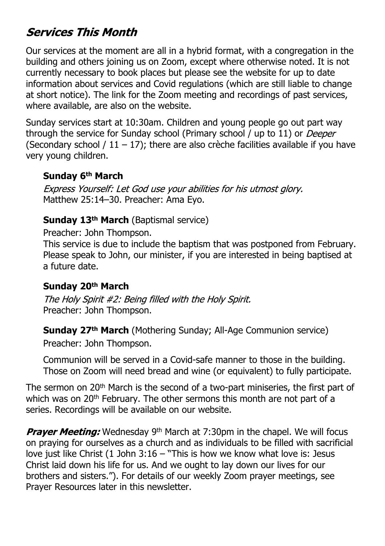#### **Services This Month**

Our services at the moment are all in a hybrid format, with a congregation in the building and others joining us on Zoom, except where otherwise noted. It is not currently necessary to book places but please see the website for up to date information about services and Covid regulations (which are still liable to change at short notice). The link for the Zoom meeting and recordings of past services, where available, are also on the website.

Sunday services start at 10:30am. Children and young people go out part way through the service for Sunday school (Primary school / up to 11) or *Deeper* (Secondary school /  $11 - 17$ ); there are also crèche facilities available if you have very young children.

#### **Sunday 6th March**

Express Yourself: Let God use your abilities for his utmost glory. Matthew 25:14–30. Preacher: Ama Eyo.

#### **Sunday 13th March** (Baptismal service)

Preacher: John Thompson.

This service is due to include the baptism that was postponed from February. Please speak to John, our minister, if you are interested in being baptised at a future date.

#### **Sunday 20th March**

The Holy Spirit #2: Being filled with the Holy Spirit. Preacher: John Thompson.

**Sunday 27th March** (Mothering Sunday; All-Age Communion service) Preacher: John Thompson.

Communion will be served in a Covid-safe manner to those in the building. Those on Zoom will need bread and wine (or equivalent) to fully participate.

The sermon on 20<sup>th</sup> March is the second of a two-part miniseries, the first part of which was on 20<sup>th</sup> February. The other sermons this month are not part of a series. Recordings will be available on our website.

Prayer Meeting: Wednesday 9<sup>th</sup> March at 7:30pm in the chapel. We will focus on praying for ourselves as a church and as individuals to be filled with sacrificial love just like Christ (1 John 3:16 – "This is how we know what love is: Jesus Christ laid down his life for us. And we ought to lay down our lives for our brothers and sisters."). For details of our weekly Zoom prayer meetings, see Prayer Resources later in this newsletter.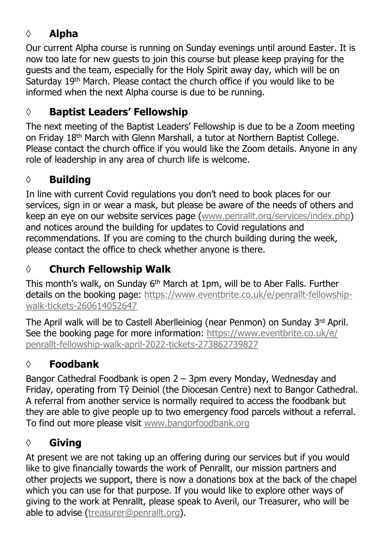### **◊ Alpha**

Our current Alpha course is running on Sunday evenings until around Easter. It is now too late for new guests to join this course but please keep praying for the guests and the team, especially for the Holy Spirit away day, which will be on Saturday 19<sup>th</sup> March. Please contact the church office if you would like to be informed when the next Alpha course is due to be running.

#### **◊ Baptist Leaders' Fellowship**

The next meeting of the Baptist Leaders' Fellowship is due to be a Zoom meeting on Friday 18th March with Glenn Marshall, a tutor at Northern Baptist College. Please contact the church office if you would like the Zoom details. Anyone in any role of leadership in any area of church life is welcome.

#### **◊ Building**

In line with current Covid regulations you don't need to book places for our services, sign in or wear a mask, but please be aware of the needs of others and keep an eye on our website services page [\(www.penrallt.org/services/index.php\)](https://www.penrallt.org/services/index.php) and notices around the building for updates to Covid regulations and recommendations. If you are coming to the church building during the week, please contact the office to check whether anyone is there.

# **◊ Church Fellowship Walk**

This month's walk, on Sunday 6th March at 1pm, will be to Aber Falls. Further details on the booking page: [https://www.eventbrite.co.uk/e/penrallt-fellowship](https://www.eventbrite.co.uk/e/penrallt-fellowship-walk-tickets-260614052647)[walk-tickets-260614052647](https://www.eventbrite.co.uk/e/penrallt-fellowship-walk-tickets-260614052647)

The April walk will be to Castell Aberlleiniog (near Penmon) on Sunday  $3<sup>rd</sup>$  April. See the booking page for more information: [https://www.eventbrite.co.uk/e/](https://www.eventbrite.co.uk/e/penrallt-fellowship-walk-april-2022-tickets-273862739827) [penrallt-fellowship-walk-april-2022-tickets-273862739827](https://www.eventbrite.co.uk/e/penrallt-fellowship-walk-april-2022-tickets-273862739827)

#### **◊ Foodbank**

Bangor Cathedral Foodbank is open 2 – 3pm every Monday, Wednesday and Friday, operating from Tŷ Deiniol (the Diocesan Centre) next to Bangor Cathedral. A referral from another service is normally required to access the foodbank but they are able to give people up to two emergency food parcels without a referral. To find out more please visit [www.bangorfoodbank.org](https://www.bangorfoodbank.org)

#### **◊ Giving**

At present we are not taking up an offering during our services but if you would like to give financially towards the work of Penrallt, our mission partners and other projects we support, there is now a donations box at the back of the chapel which you can use for that purpose. If you would like to explore other ways of giving to the work at Penrallt, please speak to Averil, our Treasurer, who will be able to advise [\(treasurer@penrallt.org](mailto:treasurer@penrallt.org)).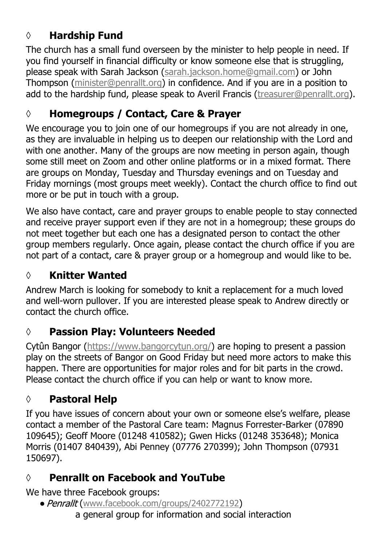### **◊ Hardship Fund**

The church has a small fund overseen by the minister to help people in need. If you find yourself in financial difficulty or know someone else that is struggling, please speak with Sarah Jackson ([sarah.jackson.home@gmail.com](mailto:sarah.jackson.home@gmail.com)) or John Thompson ([minister@penrallt.org\)](mailto:minister@penrallt.org) in confidence. And if you are in a position to add to the hardship fund, please speak to Averil Francis ([treasurer@penrallt.org\)](mailto:treasurer@penrallt.org).

#### **◊ Homegroups / Contact, Care & Prayer**

We encourage you to join one of our homegroups if you are not already in one. as they are invaluable in helping us to deepen our relationship with the Lord and with one another. Many of the groups are now meeting in person again, though some still meet on Zoom and other online platforms or in a mixed format. There are groups on Monday, Tuesday and Thursday evenings and on Tuesday and Friday mornings (most groups meet weekly). Contact the church office to find out more or be put in touch with a group.

We also have contact, care and prayer groups to enable people to stay connected and receive prayer support even if they are not in a homegroup; these groups do not meet together but each one has a designated person to contact the other group members regularly. Once again, please contact the church office if you are not part of a contact, care & prayer group or a homegroup and would like to be.

#### **◊ Knitter Wanted**

Andrew March is looking for somebody to knit a replacement for a much loved and well-worn pullover. If you are interested please speak to Andrew directly or contact the church office.

#### **◊ Passion Play: Volunteers Needed**

Cytûn Bangor [\(https://www.bangorcytun.org/](https://www.bangorcytun.org/)) are hoping to present a passion play on the streets of Bangor on Good Friday but need more actors to make this happen. There are opportunities for major roles and for bit parts in the crowd. Please contact the church office if you can help or want to know more.

#### **◊ Pastoral Help**

If you have issues of concern about your own or someone else's welfare, please contact a member of the Pastoral Care team: Magnus Forrester-Barker (07890 109645); Geoff Moore (01248 410582); Gwen Hicks (01248 353648); Monica Morris (01407 840439), Abi Penney (07776 270399); John Thompson (07931 150697).

#### **◊ Penrallt on Facebook and YouTube**

We have three Facebook groups:

• Penrallt ([www.facebook.com/groups/2402772192](https://www.facebook.com/groups/2402772192)) a general group for information and social interaction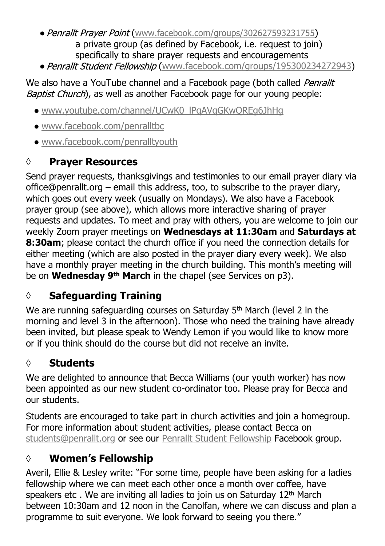- Penrallt Prayer Point ([www.facebook.com/groups/302627593231755](https://www.facebook.com/groups/302627593231755)) a private group (as defined by Facebook, i.e. request to join) specifically to share prayer requests and encouragements
- Penrallt Student Fellowship ([www.facebook.com/groups/195300234272943](https://www.facebook.com/groups/195300234272943))

#### We also have a YouTube channel and a Facebook page (both called Penrallt Baptist Church), as well as another Facebook page for our young people:

- [www.youtube.com/channel/UCwK0\\_lPqAVqGKwQREg6JhHg](https://www.youtube.com/channel/UCwK0_lPqAVqGKwQREg6JhHg)
- [www.facebook.com/penralltbc](https://www.facebook.com/penralltbc)
- [www.facebook.com/penralltyouth](https://www.facebook.com/penralltyouth)

### **◊ Prayer Resources**

Send prayer requests, thanksgivings and testimonies to our email prayer diary via office@penrallt.org – email this address, too, to subscribe to the prayer diary, which goes out every week (usually on Mondays). We also have a Facebook prayer group (see above), which allows more interactive sharing of prayer requests and updates. To meet and pray with others, you are welcome to join our weekly Zoom prayer meetings on **Wednesdays at 11:30am** and **Saturdays at 8:30am**; please contact the church office if you need the connection details for either meeting (which are also posted in the prayer diary every week). We also have a monthly prayer meeting in the church building. This month's meeting will be on **Wednesday 9th March** in the chapel (see Services on p3).

# **◊ Safeguarding Training**

We are running safeguarding courses on Saturday 5<sup>th</sup> March (level 2 in the morning and level 3 in the afternoon). Those who need the training have already been invited, but please speak to Wendy Lemon if you would like to know more or if you think should do the course but did not receive an invite.

# **◊ Students**

We are delighted to announce that Becca Williams (our youth worker) has now been appointed as our new student co-ordinator too. Please pray for Becca and our students.

Students are encouraged to take part in church activities and join a homegroup. For more information about student activities, please contact Becca on [students@penrallt.org](mailto:students@penrallt.org) or see our [Penrallt Student Fellowship](https://www.facebook.com/groups/195300234272943) Facebook group.

# **◊ Women's Fellowship**

Averil, Ellie & Lesley write: "For some time, people have been asking for a ladies fellowship where we can meet each other once a month over coffee, have speakers etc. We are inviting all ladies to join us on Saturday 12<sup>th</sup> March between 10:30am and 12 noon in the Canolfan, where we can discuss and plan a programme to suit everyone. We look forward to seeing you there."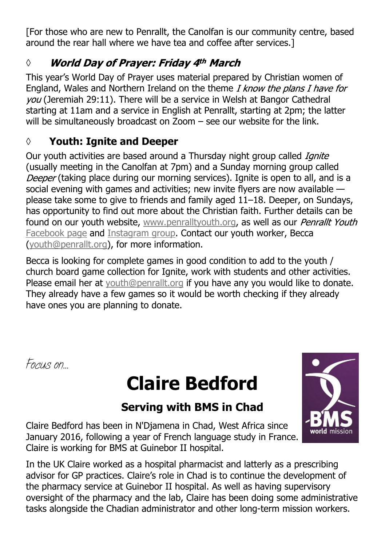[For those who are new to Penrallt, the Canolfan is our community centre, based around the rear hall where we have tea and coffee after services.]

#### **World Day of Prayer: Friday 4th March** *◊*

This year's World Day of Prayer uses material prepared by Christian women of England, Wales and Northern Ireland on the theme I know the plans I have for vou (Jeremiah 29:11). There will be a service in Welsh at Bangor Cathedral starting at 11am and a service in English at Penrallt, starting at 2pm; the latter will be simultaneously broadcast on Zoom – see our website for the link.

#### **◊ Youth: Ignite and Deeper**

Our youth activities are based around a Thursday night group called *Ignite* (usually meeting in the Canolfan at 7pm) and a Sunday morning group called Deeper (taking place during our morning services). Ignite is open to all, and is a social evening with games and activities; new invite flyers are now available please take some to give to friends and family aged 11–18. Deeper, on Sundays, has opportunity to find out more about the Christian faith. Further details can be found on our youth website, [www.penralltyouth.org](https://www.penralltyouth.org/), as well as our Penrallt Youth [Facebook page](https://www.facebook.com/penralltyouth) and [Instagram group](https://www.instagram.com/penralltyouth/). Contact our youth worker, Becca [\(youth@penrallt.org\)](mailto:youth@penrallt.org), for more information.

Becca is looking for complete games in good condition to add to the youth / church board game collection for Ignite, work with students and other activities. Please email her at [youth@penrallt.org](mailto:youth@penrallt.org) if you have any you would like to donate. They already have a few games so it would be worth checking if they already have ones you are planning to donate.

*Focus on…*

# **Claire Bedford**

# **Serving with BMS in Chad**

Claire Bedford has been in N'Djamena in Chad, West Africa since January 2016, following a year of French language study in France. Claire is working for BMS at Guinebor II hospital.

In the UK Claire worked as a hospital pharmacist and latterly as a prescribing advisor for GP practices. Claire's role in Chad is to continue the development of the pharmacy service at Guinebor II hospital. As well as having supervisory oversight of the pharmacy and the lab, Claire has been doing some administrative tasks alongside the Chadian administrator and other long-term mission workers.